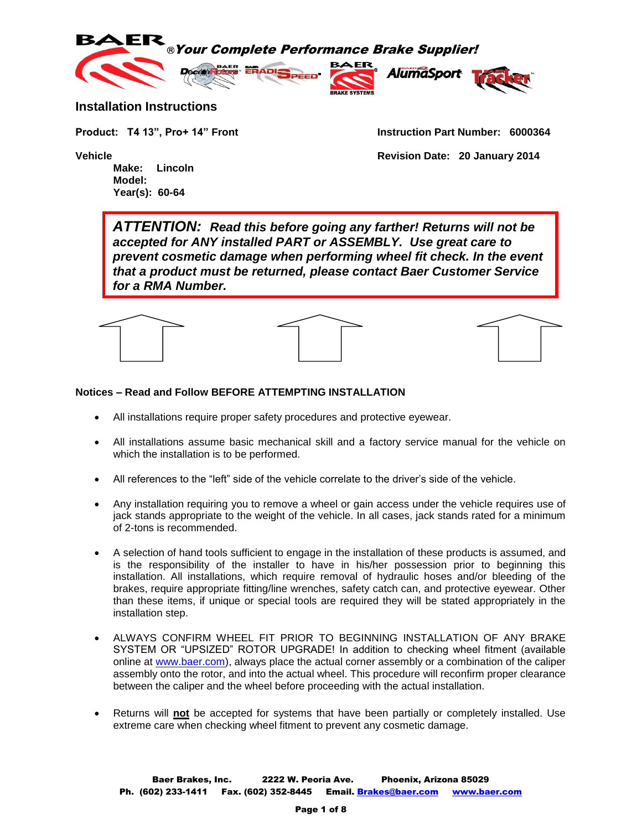

#### **Installation Instructions**

**Make: Lincoln Model: Year(s): 60-64**

**Product: T4 13", Pro+ 14" Front Instruction Part Number: 6000364**

**Vehicle Revision Date: 20 January 2014**

*ATTENTION: Read this before going any farther! Returns will not be accepted for ANY installed PART or ASSEMBLY. Use great care to prevent cosmetic damage when performing wheel fit check. In the event that a product must be returned, please contact Baer Customer Service for a RMA Number.*



#### **Notices – Read and Follow BEFORE ATTEMPTING INSTALLATION**

- All installations require proper safety procedures and protective eyewear.
- All installations assume basic mechanical skill and a factory service manual for the vehicle on which the installation is to be performed.
- All references to the "left" side of the vehicle correlate to the driver's side of the vehicle.
- Any installation requiring you to remove a wheel or gain access under the vehicle requires use of jack stands appropriate to the weight of the vehicle. In all cases, jack stands rated for a minimum of 2-tons is recommended.
- A selection of hand tools sufficient to engage in the installation of these products is assumed, and is the responsibility of the installer to have in his/her possession prior to beginning this installation. All installations, which require removal of hydraulic hoses and/or bleeding of the brakes, require appropriate fitting/line wrenches, safety catch can, and protective eyewear. Other than these items, if unique or special tools are required they will be stated appropriately in the installation step.
- ALWAYS CONFIRM WHEEL FIT PRIOR TO BEGINNING INSTALLATION OF ANY BRAKE SYSTEM OR "UPSIZED" ROTOR UPGRADE! In addition to checking wheel fitment (available online at [www.baer.com\)](http://www.baer.com/), always place the actual corner assembly or a combination of the caliper assembly onto the rotor, and into the actual wheel. This procedure will reconfirm proper clearance between the caliper and the wheel before proceeding with the actual installation.
- Returns will **not** be accepted for systems that have been partially or completely installed. Use extreme care when checking wheel fitment to prevent any cosmetic damage.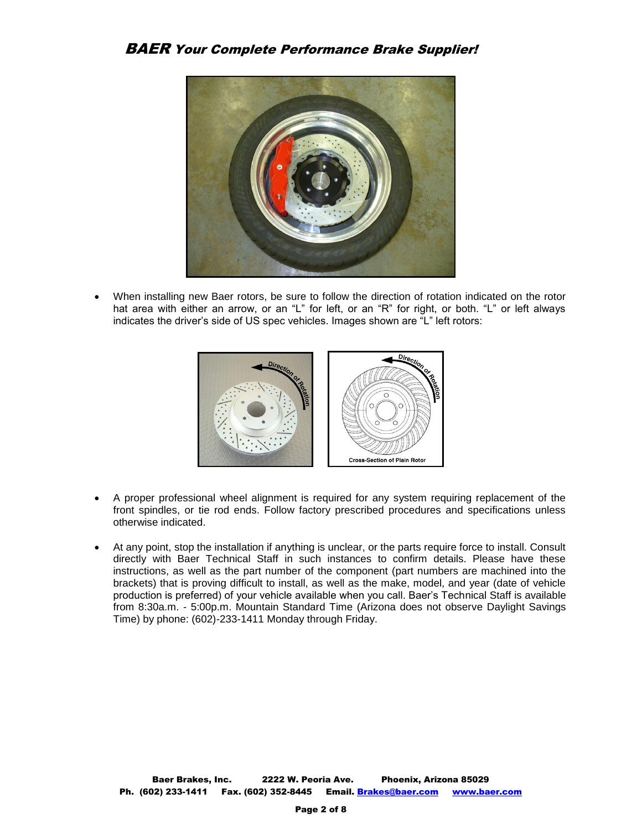

 When installing new Baer rotors, be sure to follow the direction of rotation indicated on the rotor hat area with either an arrow, or an "L" for left, or an "R" for right, or both. "L" or left always indicates the driver's side of US spec vehicles. Images shown are "L" left rotors:



- A proper professional wheel alignment is required for any system requiring replacement of the front spindles, or tie rod ends. Follow factory prescribed procedures and specifications unless otherwise indicated.
- At any point, stop the installation if anything is unclear, or the parts require force to install. Consult directly with Baer Technical Staff in such instances to confirm details. Please have these instructions, as well as the part number of the component (part numbers are machined into the brackets) that is proving difficult to install, as well as the make, model, and year (date of vehicle production is preferred) of your vehicle available when you call. Baer's Technical Staff is available from 8:30a.m. - 5:00p.m. Mountain Standard Time (Arizona does not observe Daylight Savings Time) by phone: (602)-233-1411 Monday through Friday.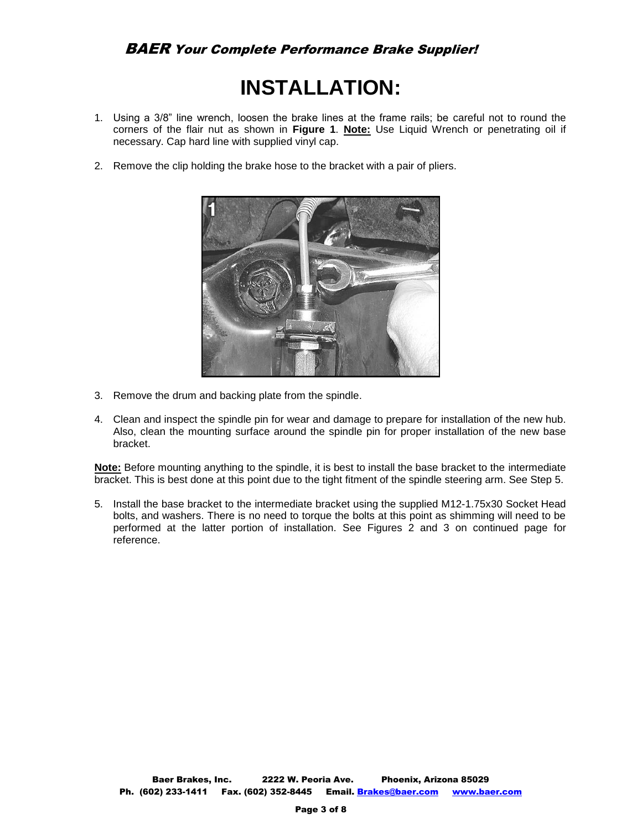# **INSTALLATION:**

- 1. Using a 3/8" line wrench, loosen the brake lines at the frame rails; be careful not to round the corners of the flair nut as shown in **Figure 1**. **Note:** Use Liquid Wrench or penetrating oil if necessary. Cap hard line with supplied vinyl cap.
- 2. Remove the clip holding the brake hose to the bracket with a pair of pliers.



- 3. Remove the drum and backing plate from the spindle.
- 4. Clean and inspect the spindle pin for wear and damage to prepare for installation of the new hub. Also, clean the mounting surface around the spindle pin for proper installation of the new base bracket.

**Note:** Before mounting anything to the spindle, it is best to install the base bracket to the intermediate bracket. This is best done at this point due to the tight fitment of the spindle steering arm. See Step 5.

5. Install the base bracket to the intermediate bracket using the supplied M12-1.75x30 Socket Head bolts, and washers. There is no need to torque the bolts at this point as shimming will need to be performed at the latter portion of installation. See Figures 2 and 3 on continued page for reference.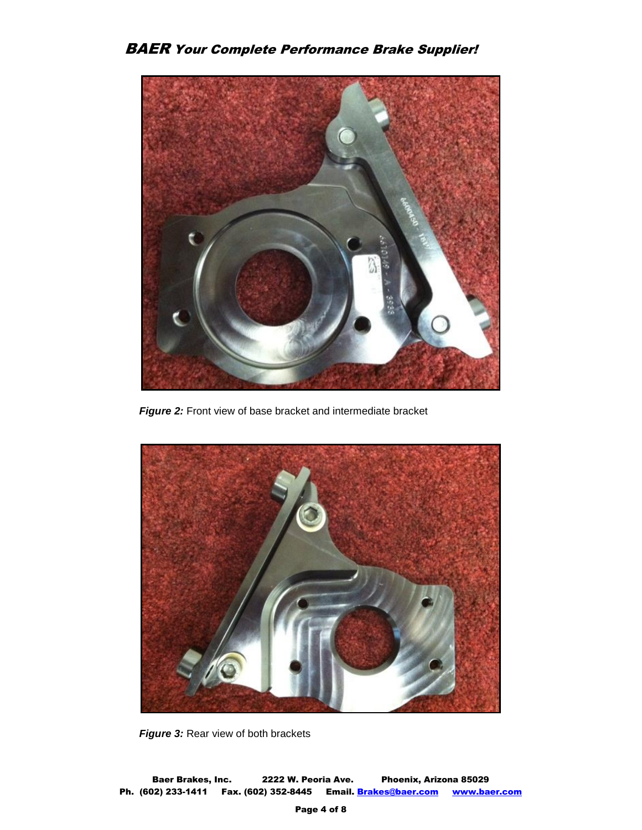

 *Figure 2:* Front view of base bracket and intermediate bracket



**Figure 3: Rear view of both brackets**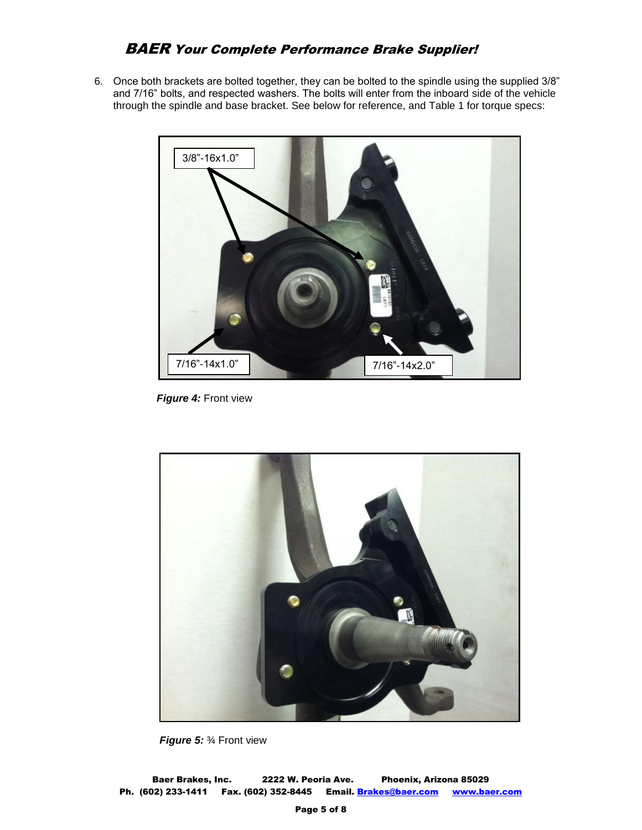## BAER Your Complete Performance Brake Supplier!

6. Once both brackets are bolted together, they can be bolted to the spindle using the supplied 3/8" and 7/16" bolts, and respected washers. The bolts will enter from the inboard side of the vehicle through the spindle and base bracket. See below for reference, and Table 1 for torque specs:



 *Figure 4:* Front view



 *Figure 5:* ¾ Front view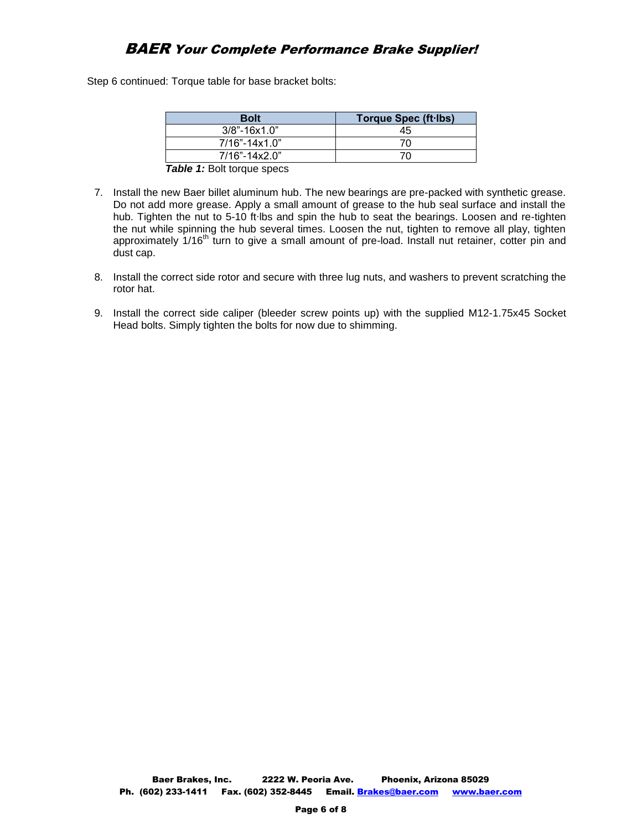## BAER Your Complete Performance Brake Supplier!

Step 6 continued: Torque table for base bracket bolts:

dust cap.

| <b>Bolt</b>                       | Torque Spec (ft lbs) |
|-----------------------------------|----------------------|
| $3/8$ "-16x1.0"                   | 45                   |
| $7/16" - 14x1.0"$                 | 70                   |
| $7/16" - 14x2.0"$                 | 7Λ                   |
| <b>Table 1: Bolt torque specs</b> |                      |

<sup>7.</sup> Install the new Baer billet aluminum hub. The new bearings are pre-packed with synthetic grease. Do not add more grease. Apply a small amount of grease to the hub seal surface and install the hub. Tighten the nut to 5-10 ft∙lbs and spin the hub to seat the bearings. Loosen and re-tighten the nut while spinning the hub several times. Loosen the nut, tighten to remove all play, tighten approximately 1/16<sup>th</sup> turn to give a small amount of pre-load. Install nut retainer, cotter pin and

- 8. Install the correct side rotor and secure with three lug nuts, and washers to prevent scratching the rotor hat.
- 9. Install the correct side caliper (bleeder screw points up) with the supplied M12-1.75x45 Socket Head bolts. Simply tighten the bolts for now due to shimming.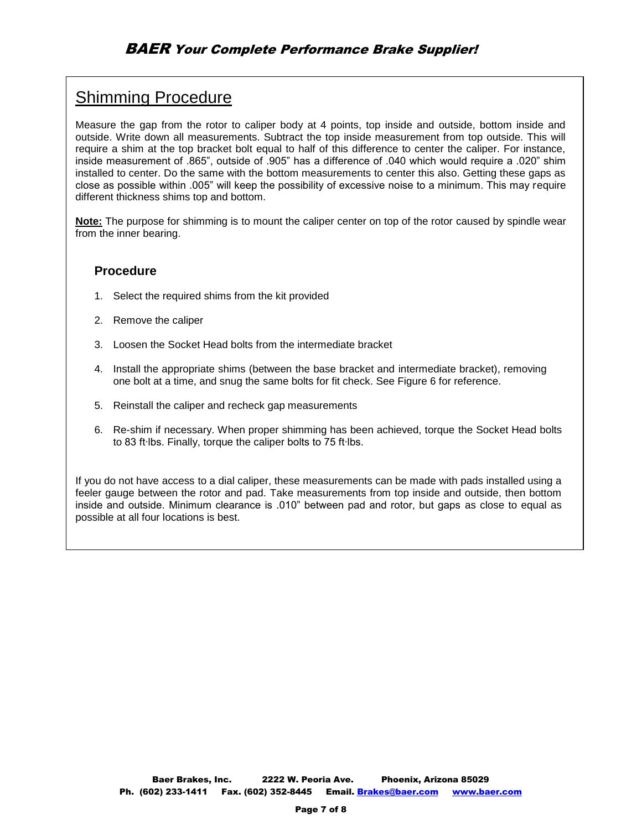## Shimming Procedure

Measure the gap from the rotor to caliper body at 4 points, top inside and outside, bottom inside and outside. Write down all measurements. Subtract the top inside measurement from top outside. This will require a shim at the top bracket bolt equal to half of this difference to center the caliper. For instance, inside measurement of .865", outside of .905" has a difference of .040 which would require a .020" shim installed to center. Do the same with the bottom measurements to center this also. Getting these gaps as close as possible within .005" will keep the possibility of excessive noise to a minimum. This may require different thickness shims top and bottom.

**Note:** The purpose for shimming is to mount the caliper center on top of the rotor caused by spindle wear from the inner bearing.

#### **Procedure**

- 1. Select the required shims from the kit provided
- 2. Remove the caliper
- 3. Loosen the Socket Head bolts from the intermediate bracket
- 4. Install the appropriate shims (between the base bracket and intermediate bracket), removing one bolt at a time, and snug the same bolts for fit check. See Figure 6 for reference.
- 5. Reinstall the caliper and recheck gap measurements
- 6. Re-shim if necessary. When proper shimming has been achieved, torque the Socket Head bolts to 83 ft∙lbs. Finally, torque the caliper bolts to 75 ft∙lbs.

If you do not have access to a dial caliper, these measurements can be made with pads installed using a feeler gauge between the rotor and pad. Take measurements from top inside and outside, then bottom inside and outside. Minimum clearance is .010" between pad and rotor, but gaps as close to equal as possible at all four locations is best.